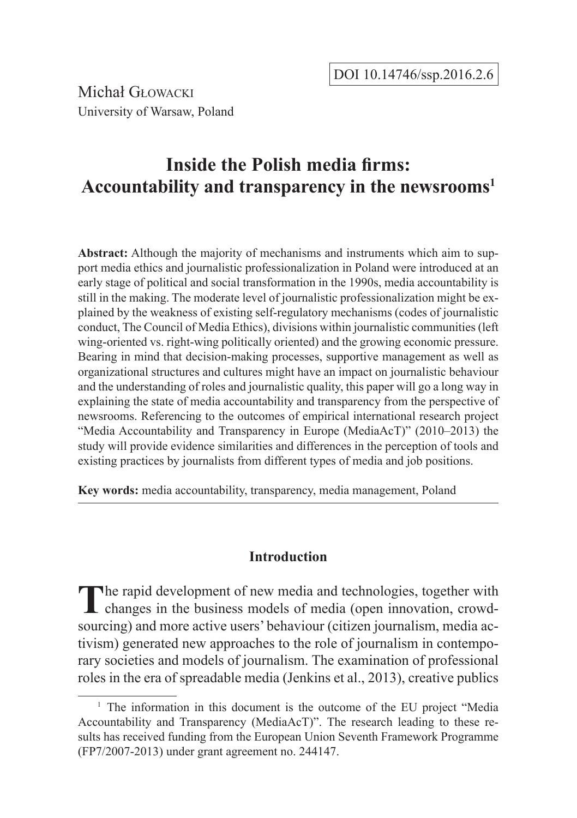Michał Głowacki University of Warsaw, Poland

# **Inside the Polish media firms: Accountability and transparency in the newsrooms<sup>1</sup>**

**Abstract:** Although the majority of mechanisms and instruments which aim to support media ethics and journalistic professionalization in Poland were introduced at an early stage of political and social transformation in the 1990s, media accountability is still in the making. The moderate level of journalistic professionalization might be explained by the weakness of existing self-regulatory mechanisms (codes of journalistic conduct, The Council of Media Ethics), divisions within journalistic communities (left wing-oriented vs. right-wing politically oriented) and the growing economic pressure. Bearing in mind that decision-making processes, supportive management as well as organizational structures and cultures might have an impact on journalistic behaviour and the understanding of roles and journalistic quality, this paper will go a long way in explaining the state of media accountability and transparency from the perspective of newsrooms. Referencing to the outcomes of empirical international research project "Media Accountability and Transparency in Europe (MediaAcT)" (2010–2013) the study will provide evidence similarities and differences in the perception of tools and existing practices by journalists from different types of media and job positions.

**Key words:** media accountability, transparency, media management, Poland

### **Introduction**

The rapid development of new media and technologies, together with changes in the business models of media (open innovation, crowdsourcing) and more active users' behaviour (citizen journalism, media activism) generated new approaches to the role of journalism in contemporary societies and models of journalism. The examination of professional roles in the era of spreadable media (Jenkins et al., 2013), creative publics

<sup>&</sup>lt;sup>1</sup> The information in this document is the outcome of the EU project "Media" Accountability and Transparency (MediaAcT)". The research leading to these results has received funding from the European Union Seventh Framework Programme (FP7/2007-2013) under grant agreement no. 244147.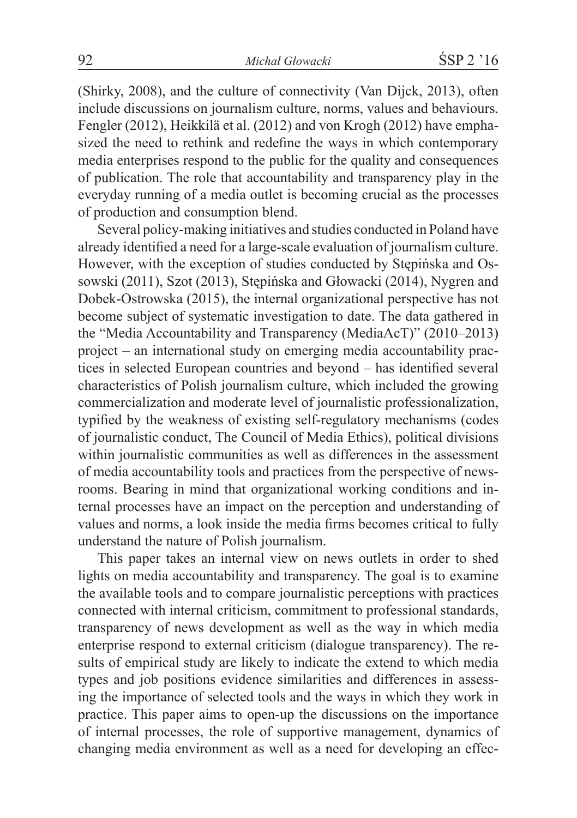(Shirky, 2008), and the culture of connectivity (Van Dijck, 2013), often include discussions on journalism culture, norms, values and behaviours. Fengler (2012), Heikkilä et al. (2012) and von Krogh (2012) have emphasized the need to rethink and redefine the ways in which contemporary media enterprises respond to the public for the quality and consequences of publication. The role that accountability and transparency play in the everyday running of a media outlet is becoming crucial as the processes of production and consumption blend.

Several policy-making initiatives and studies conducted in Poland have already identified a need for a large-scale evaluation of journalism culture. However, with the exception of studies conducted by Stępińska and Ossowski (2011), Szot (2013), Stępińska and Głowacki (2014), Nygren and Dobek-Ostrowska (2015), the internal organizational perspective has not become subject of systematic investigation to date. The data gathered in the "Media Accountability and Transparency (MediaAcT)" (2010–2013) project – an international study on emerging media accountability practices in selected European countries and beyond – has identified several characteristics of Polish journalism culture, which included the growing commercialization and moderate level of journalistic professionalization, typified by the weakness of existing self-regulatory mechanisms (codes of journalistic conduct, The Council of Media Ethics), political divisions within journalistic communities as well as differences in the assessment of media accountability tools and practices from the perspective of newsrooms. Bearing in mind that organizational working conditions and internal processes have an impact on the perception and understanding of values and norms, a look inside the media firms becomes critical to fully understand the nature of Polish journalism.

This paper takes an internal view on news outlets in order to shed lights on media accountability and transparency. The goal is to examine the available tools and to compare journalistic perceptions with practices connected with internal criticism, commitment to professional standards, transparency of news development as well as the way in which media enterprise respond to external criticism (dialogue transparency). The results of empirical study are likely to indicate the extend to which media types and job positions evidence similarities and differences in assessing the importance of selected tools and the ways in which they work in practice. This paper aims to open-up the discussions on the importance of internal processes, the role of supportive management, dynamics of changing media environment as well as a need for developing an effec-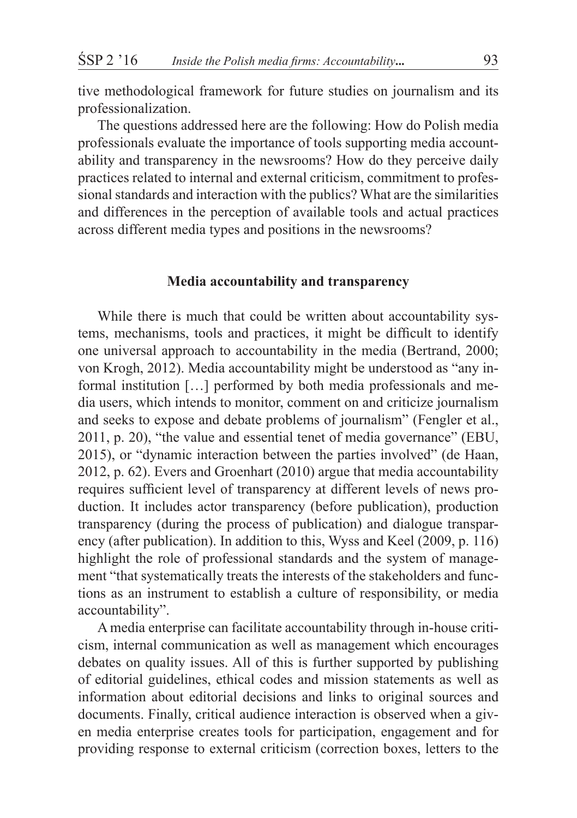tive methodological framework for future studies on journalism and its professionalization.

The questions addressed here are the following: How do Polish media professionals evaluate the importance of tools supporting media accountability and transparency in the newsrooms? How do they perceive daily practices related to internal and external criticism, commitment to professional standards and interaction with the publics? What are the similarities and differences in the perception of available tools and actual practices across different media types and positions in the newsrooms?

#### **Media accountability and transparency**

While there is much that could be written about accountability systems, mechanisms, tools and practices, it might be difficult to identify one universal approach to accountability in the media (Bertrand, 2000; von Krogh, 2012). Media accountability might be understood as "any informal institution […] performed by both media professionals and media users, which intends to monitor, comment on and criticize journalism and seeks to expose and debate problems of journalism" (Fengler et al., 2011, p. 20), "the value and essential tenet of media governance" (EBU, 2015), or "dynamic interaction between the parties involved" (de Haan, 2012, p. 62). Evers and Groenhart (2010) argue that media accountability requires sufficient level of transparency at different levels of news production. It includes actor transparency (before publication), production transparency (during the process of publication) and dialogue transparency (after publication). In addition to this, Wyss and Keel (2009, p. 116) highlight the role of professional standards and the system of management "that systematically treats the interests of the stakeholders and functions as an instrument to establish a culture of responsibility, or media accountability".

A media enterprise can facilitate accountability through in-house criticism, internal communication as well as management which encourages debates on quality issues. All of this is further supported by publishing of editorial guidelines, ethical codes and mission statements as well as information about editorial decisions and links to original sources and documents. Finally, critical audience interaction is observed when a given media enterprise creates tools for participation, engagement and for providing response to external criticism (correction boxes, letters to the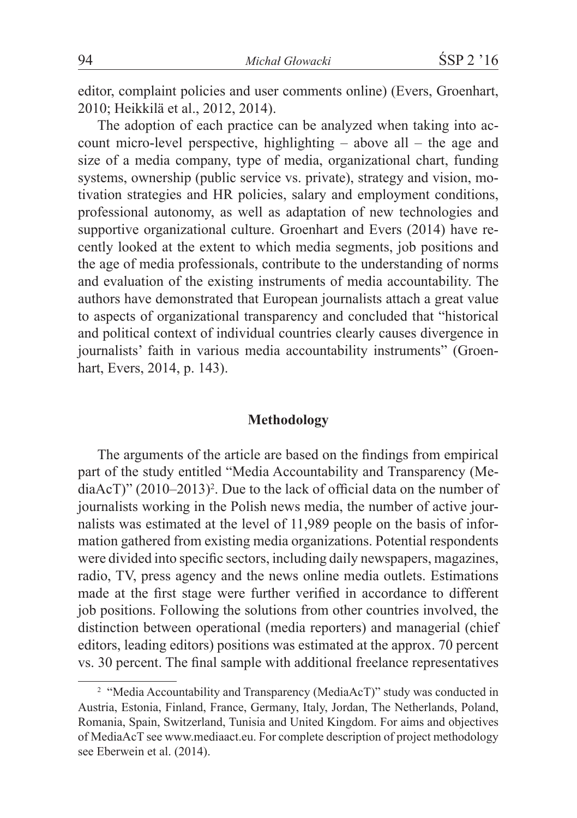editor, complaint policies and user comments online) (Evers, Groenhart, 2010; Heikkilä et al., 2012, 2014).

The adoption of each practice can be analyzed when taking into account micro-level perspective, highlighting – above all – the age and size of a media company, type of media, organizational chart, funding systems, ownership (public service vs. private), strategy and vision, motivation strategies and HR policies, salary and employment conditions, professional autonomy, as well as adaptation of new technologies and supportive organizational culture. Groenhart and Evers (2014) have recently looked at the extent to which media segments, job positions and the age of media professionals, contribute to the understanding of norms and evaluation of the existing instruments of media accountability. The authors have demonstrated that European journalists attach a great value to aspects of organizational transparency and concluded that "historical and political context of individual countries clearly causes divergence in journalists' faith in various media accountability instruments" (Groenhart, Evers, 2014, p. 143).

#### **Methodology**

The arguments of the article are based on the findings from empirical part of the study entitled "Media Accountability and Transparency (Me $di$ a $Ac$ T)" (2010–2013)<sup>2</sup>. Due to the lack of official data on the number of journalists working in the Polish news media, the number of active journalists was estimated at the level of 11,989 people on the basis of information gathered from existing media organizations. Potential respondents were divided into specific sectors, including daily newspapers, magazines, radio, TV, press agency and the news online media outlets. Estimations made at the first stage were further verified in accordance to different job positions. Following the solutions from other countries involved, the distinction between operational (media reporters) and managerial (chief editors, leading editors) positions was estimated at the approx. 70 percent vs. 30 percent. The final sample with additional freelance representatives

<sup>&</sup>lt;sup>2</sup> "Media Accountability and Transparency (MediaAcT)" study was conducted in Austria, Estonia, Finland, France, Germany, Italy, Jordan, The Netherlands, Poland, Romania, Spain, Switzerland, Tunisia and United Kingdom. For aims and objectives of MediaAcT see www.mediaact.eu. For complete description of project methodology see Eberwein et al. (2014).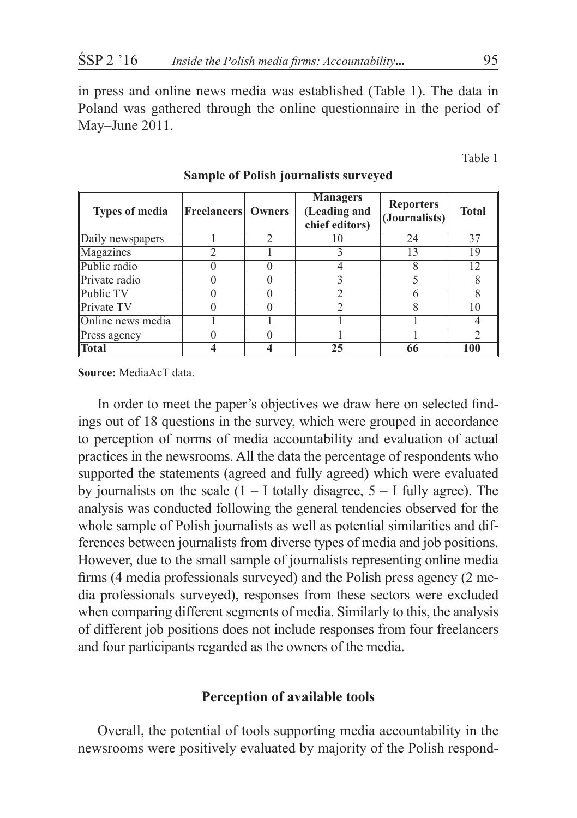in press and online news media was established (Table 1). The data in Poland was gathered through the online questionnaire in the period of May–June 2011.

Table 1

| <b>Types of media</b> | <b>Freelancers</b> Owners | <b>Managers</b><br><b>Reporters</b><br>(Leading and<br>chief editors) |    | (Journalists) | <b>Total</b> |
|-----------------------|---------------------------|-----------------------------------------------------------------------|----|---------------|--------------|
| Daily newspapers      |                           |                                                                       | 10 | 24            | 37           |
| Magazines             |                           |                                                                       |    | 13            | 19           |
| Public radio          |                           |                                                                       |    |               | 12           |
| Private radio         |                           |                                                                       |    |               |              |
| Public TV             |                           |                                                                       |    | h             |              |
| <b>Private TV</b>     |                           |                                                                       |    |               | 10           |
| Online news media     |                           |                                                                       |    |               |              |
| Press agency          |                           |                                                                       |    |               |              |
| <b>Total</b>          |                           |                                                                       | 25 | 66            | 100          |

## **Sample of Polish journalists surveyed**

**Source:** MediaAcT data.

In order to meet the paper's objectives we draw here on selected findings out of 18 questions in the survey, which were grouped in accordance to perception of norms of media accountability and evaluation of actual practices in the newsrooms. All the data the percentage of respondents who supported the statements (agreed and fully agreed) which were evaluated by journalists on the scale  $(1 - I$  totally disagree,  $5 - I$  fully agree). The analysis was conducted following the general tendencies observed for the whole sample of Polish journalists as well as potential similarities and differences between journalists from diverse types of media and job positions. However, due to the small sample of journalists representing online media firms (4 media professionals surveyed) and the Polish press agency (2 media professionals surveyed), responses from these sectors were excluded when comparing different segments of media. Similarly to this, the analysis of different job positions does not include responses from four freelancers and four participants regarded as the owners of the media.

### **Perception of available tools**

Overall, the potential of tools supporting media accountability in the newsrooms were positively evaluated by majority of the Polish respond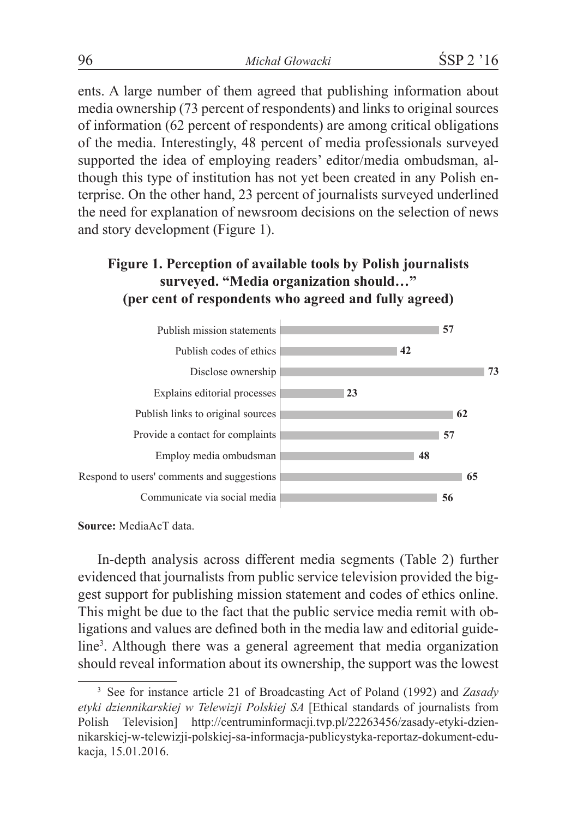ents. A large number of them agreed that publishing information about media ownership (73 percent of respondents) and links to original sources of information (62 percent of respondents) are among critical obligations of the media. Interestingly, 48 percent of media professionals surveyed supported the idea of employing readers' editor/media ombudsman, although this type of institution has not yet been created in any Polish enterprise. On the other hand, 23 percent of journalists surveyed underlined the need for explanation of newsroom decisions on the selection of news and story development (Figure 1).

## **Figure 1. Perception of available tools by Polish journalists surveyed. "Media organization should…" (per cent of respondents who agreed and fully agreed)**



**Source:** MediaAcT data.

In-depth analysis across different media segments (Table 2) further evidenced that journalists from public service television provided the biggest support for publishing mission statement and codes of ethics online. This might be due to the fact that the public service media remit with obligations and values are defined both in the media law and editorial guideline<sup>3</sup>. Although there was a general agreement that media organization should reveal information about its ownership, the support was the lowest

<sup>3</sup> See for instance article 21 of Broadcasting Act of Poland (1992) and *Zasady etyki dziennikarskiej w Telewizji Polskiej SA* [Ethical standards of journalists from Polish Television] http://centruminformacji.tvp.pl/22263456/zasady-etyki-dziennikarskiej-w-telewizji-polskiej-sa-informacja-publicystyka-reportaz-dokument-edukacja, 15.01.2016.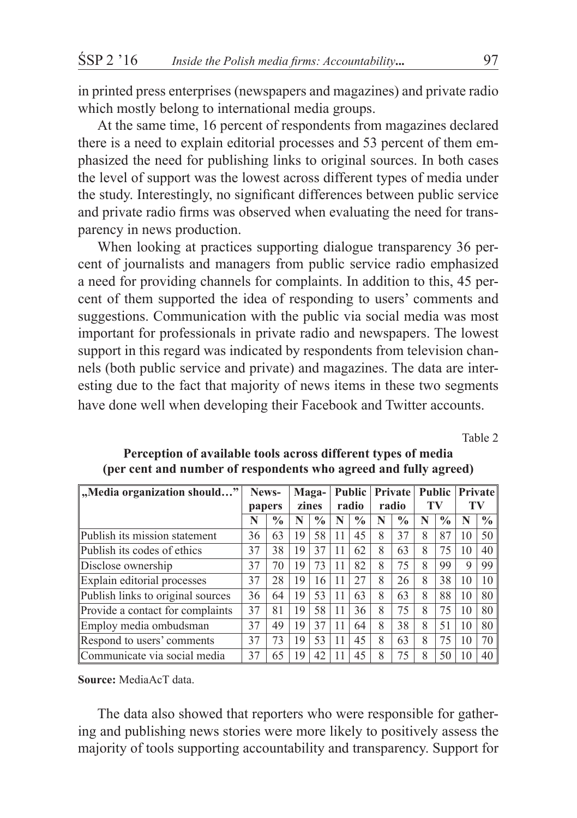in printed press enterprises (newspapers and magazines) and private radio which mostly belong to international media groups.

At the same time, 16 percent of respondents from magazines declared there is a need to explain editorial processes and 53 percent of them emphasized the need for publishing links to original sources. In both cases the level of support was the lowest across different types of media under the study. Interestingly, no significant differences between public service and private radio firms was observed when evaluating the need for transparency in news production.

When looking at practices supporting dialogue transparency 36 percent of journalists and managers from public service radio emphasized a need for providing channels for complaints. In addition to this, 45 percent of them supported the idea of responding to users' comments and suggestions. Communication with the public via social media was most important for professionals in private radio and newspapers. The lowest support in this regard was indicated by respondents from television channels (both public service and private) and magazines. The data are interesting due to the fact that majority of news items in these two segments have done well when developing their Facebook and Twitter accounts.

Table 2

| "Media organization should"       | News-  |               | <b>Public</b><br>Maga- |               | Private |               | <b>Public</b> |               | <b>Private</b> |               |    |                 |
|-----------------------------------|--------|---------------|------------------------|---------------|---------|---------------|---------------|---------------|----------------|---------------|----|-----------------|
|                                   | papers |               | zines                  |               | radio   |               | radio         |               | TV             |               | TV |                 |
|                                   | N      | $\frac{0}{0}$ |                        | $\frac{0}{0}$ | N       | $\frac{0}{0}$ | N             | $\frac{0}{0}$ | N              | $\frac{0}{0}$ |    | $\frac{0}{0}$   |
| Publish its mission statement     | 36     | 63            | 19                     | 58            | 11      | 45            | 8             | 37            | 8              | 87            | 10 | 50 l            |
| Publish its codes of ethics       | 37     | 38            | 19                     | 37            | 11      | 62            | 8             | 63            | 8              | 75            | 10 | 40 <sup>1</sup> |
| Disclose ownership                | 37     | 70            | 19                     | 73            | 11      | 82            | 8             | 75            | 8              | 99            | 9  | 99              |
| Explain editorial processes       | 37     | 28            | 19                     | 16            | 11      | 2.7           | 8             | 26            | 8              | 38            | 10 | 10              |
| Publish links to original sources | 36     | 64            | 19                     | 53            | 11      | 63            | 8             | 63            | 8              | 88            | 10 | 80              |
| Provide a contact for complaints  | 37     | 81            | 19                     | 58            | 11      | 36            | 8             | 75            | 8              | 75            | 10 | 80              |
| Employ media ombudsman            | 37     | 49            | 19                     | 37            | 11      | 64            | 8             | 38            | 8              | 51            | 10 | 80              |
| Respond to users' comments        | 37     | 73            | 19                     | 53            | 11      | 45            | 8             | 63            | 8              | 75            | 10 | 70 l            |
| Communicate via social media      | 37     | 65            | 19                     | 42            | 11      | 45            | 8             | 75            | 8              | 50            |    | 40              |

#### **Perception of available tools across different types of media (per cent and number of respondents who agreed and fully agreed)**

**Source:** MediaAcT data.

The data also showed that reporters who were responsible for gathering and publishing news stories were more likely to positively assess the majority of tools supporting accountability and transparency. Support for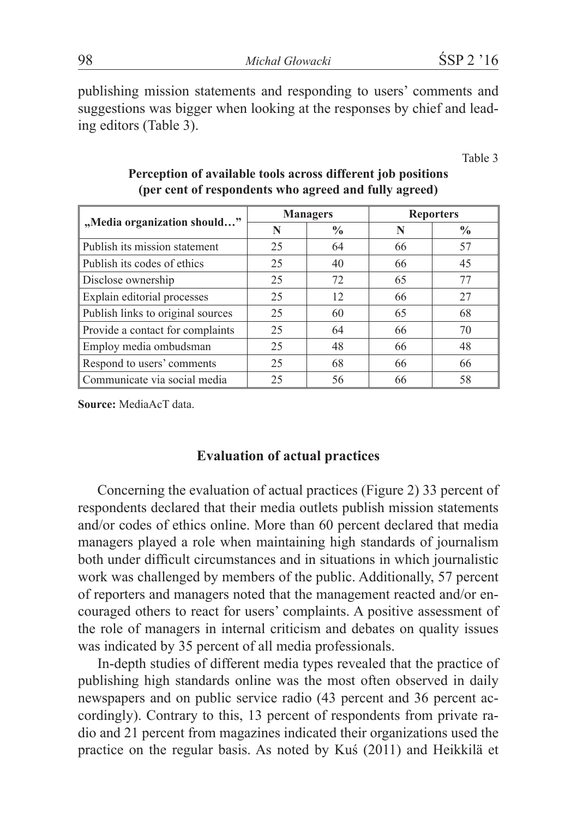publishing mission statements and responding to users' comments and suggestions was bigger when looking at the responses by chief and leading editors (Table 3).

Table 3

|                                   |    | <b>Managers</b> | <b>Reporters</b> |               |  |
|-----------------------------------|----|-----------------|------------------|---------------|--|
| "Media organization should"       | N  | $\frac{6}{9}$   | N                | $\frac{0}{0}$ |  |
| Publish its mission statement     | 25 | 64              | 66               | 57            |  |
| Publish its codes of ethics       | 25 | 40              | 66               | 45            |  |
| Disclose ownership                | 25 | 72              | 65               | 77            |  |
| Explain editorial processes       | 25 | 12              | 66               | 27            |  |
| Publish links to original sources | 25 | 60              | 65               | 68            |  |
| Provide a contact for complaints  | 25 | 64              | 66               | 70            |  |
| Employ media ombudsman            | 25 | 48              | 66               | 48            |  |
| Respond to users' comments        | 25 | 68              | 66               | 66            |  |
| Communicate via social media      | 25 | 56              | 66               | 58            |  |

#### **Perception of available tools across different job positions (per cent of respondents who agreed and fully agreed)**

**Source:** MediaAcT data.

#### **Evaluation of actual practices**

Concerning the evaluation of actual practices (Figure 2) 33 percent of respondents declared that their media outlets publish mission statements and/or codes of ethics online. More than 60 percent declared that media managers played a role when maintaining high standards of journalism both under difficult circumstances and in situations in which journalistic work was challenged by members of the public. Additionally, 57 percent of reporters and managers noted that the management reacted and/or encouraged others to react for users' complaints. A positive assessment of the role of managers in internal criticism and debates on quality issues was indicated by 35 percent of all media professionals.

In-depth studies of different media types revealed that the practice of publishing high standards online was the most often observed in daily newspapers and on public service radio (43 percent and 36 percent accordingly). Contrary to this, 13 percent of respondents from private radio and 21 percent from magazines indicated their organizations used the practice on the regular basis. As noted by Kuś (2011) and Heikkilä et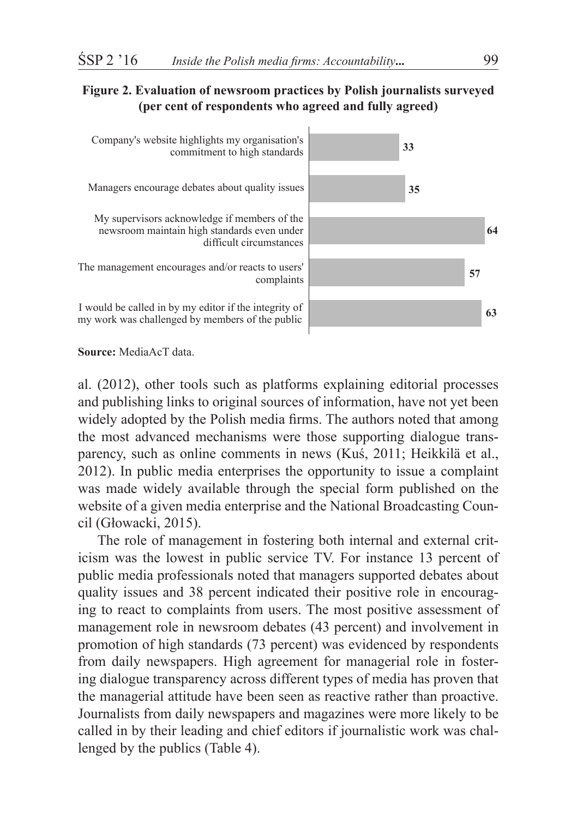#### **Figure 2. Evaluation of newsroom practices by Polish journalists surveyed (per cent of respondents who agreed and fully agreed)**



**Source:** MediaAcT data.

al. (2012), other tools such as platforms explaining editorial processes and publishing links to original sources of information, have not yet been widely adopted by the Polish media firms. The authors noted that among the most advanced mechanisms were those supporting dialogue transparency, such as online comments in news (Kuś, 2011; Heikkilä et al., 2012). In public media enterprises the opportunity to issue a complaint was made widely available through the special form published on the website of a given media enterprise and the National Broadcasting Council (Głowacki, 2015).

The role of management in fostering both internal and external criticism was the lowest in public service TV. For instance 13 percent of public media professionals noted that managers supported debates about quality issues and 38 percent indicated their positive role in encouraging to react to complaints from users. The most positive assessment of management role in newsroom debates (43 percent) and involvement in promotion of high standards (73 percent) was evidenced by respondents from daily newspapers. High agreement for managerial role in fostering dialogue transparency across different types of media has proven that the managerial attitude have been seen as reactive rather than proactive. Journalists from daily newspapers and magazines were more likely to be called in by their leading and chief editors if journalistic work was challenged by the publics (Table 4).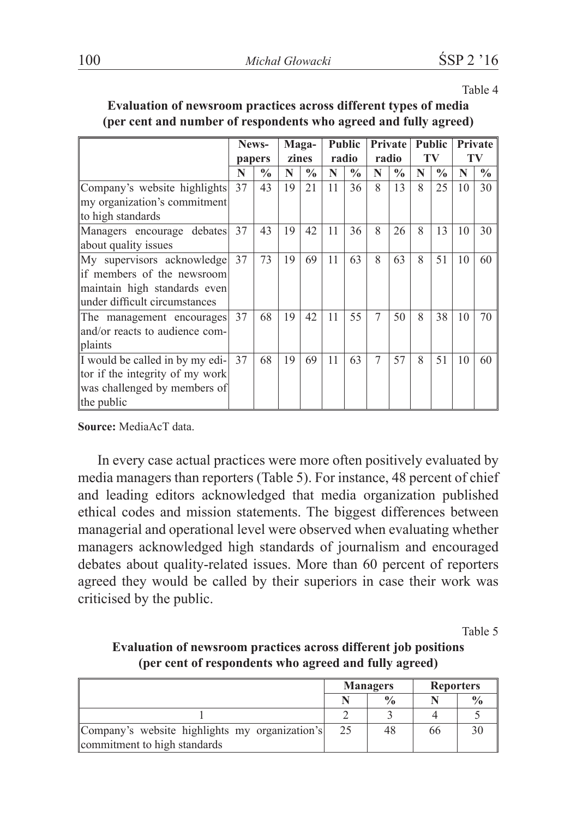| ×<br>٧<br>۰,<br>ł |  |
|-------------------|--|
|-------------------|--|

|                                 | News-<br>papers |               | <b>Public</b><br>Maga- |               |    | <b>Private</b> |                | <b>Public</b> |    | <b>Private</b> |    |               |
|---------------------------------|-----------------|---------------|------------------------|---------------|----|----------------|----------------|---------------|----|----------------|----|---------------|
|                                 |                 |               |                        | zines         |    | radio          |                | radio         | TV |                | TV |               |
|                                 | N               | $\frac{0}{0}$ | N                      | $\frac{6}{9}$ | N  | $\frac{0}{0}$  | N              | $\frac{0}{0}$ | N  | $\frac{0}{0}$  | N  | $\frac{6}{9}$ |
| Company's website highlights    | 37              | 43            | 19                     | 21            | 11 | 36             | 8              | 13            | 8  | 25             | 10 | 30            |
| my organization's commitment    |                 |               |                        |               |    |                |                |               |    |                |    |               |
| to high standards               |                 |               |                        |               |    |                |                |               |    |                |    |               |
| Managers encourage debates      | 37              | 43            | 19                     | 42            | 11 | 36             | 8              | 26            | 8  | 13             | 10 | 30            |
| about quality issues            |                 |               |                        |               |    |                |                |               |    |                |    |               |
| My supervisors acknowledge      | 37              | 73            | 19                     | 69            | 11 | 63             | 8              | 63            | 8  | 51             | 10 | 60            |
| lif members of the newsroom     |                 |               |                        |               |    |                |                |               |    |                |    |               |
| maintain high standards even    |                 |               |                        |               |    |                |                |               |    |                |    |               |
| lunder difficult circumstances  |                 |               |                        |               |    |                |                |               |    |                |    |               |
| The management encourages       | 37              | 68            | 19                     | 42            | 11 | 55             | $\overline{7}$ | 50            | 8  | 38             | 10 | 70            |
| land/or reacts to audience com- |                 |               |                        |               |    |                |                |               |    |                |    |               |
| plaints                         |                 |               |                        |               |    |                |                |               |    |                |    |               |
| I would be called in by my edi- | 37              | 68            | 19                     | 69            | 11 | 63             | 7              | 57            | 8  | 51             | 10 | 60            |
| tor if the integrity of my work |                 |               |                        |               |    |                |                |               |    |                |    |               |
| was challenged by members of    |                 |               |                        |               |    |                |                |               |    |                |    |               |
| the public                      |                 |               |                        |               |    |                |                |               |    |                |    |               |

#### **Evaluation of newsroom practices across different types of media (per cent and number of respondents who agreed and fully agreed)**

**Source:** MediaAcT data.

In every case actual practices were more often positively evaluated by media managers than reporters (Table 5). For instance, 48 percent of chief and leading editors acknowledged that media organization published ethical codes and mission statements. The biggest differences between managerial and operational level were observed when evaluating whether managers acknowledged high standards of journalism and encouraged debates about quality-related issues. More than 60 percent of reporters agreed they would be called by their superiors in case their work was criticised by the public.

Table 5

#### **Evaluation of newsroom practices across different job positions (per cent of respondents who agreed and fully agreed)**

|                                                                                |    | <b>Managers</b> | <b>Reporters</b> |  |  |
|--------------------------------------------------------------------------------|----|-----------------|------------------|--|--|
|                                                                                |    | $\frac{0}{0}$   |                  |  |  |
|                                                                                |    |                 |                  |  |  |
| Company's website highlights my organization's<br>commitment to high standards | 25 | 48              | 66               |  |  |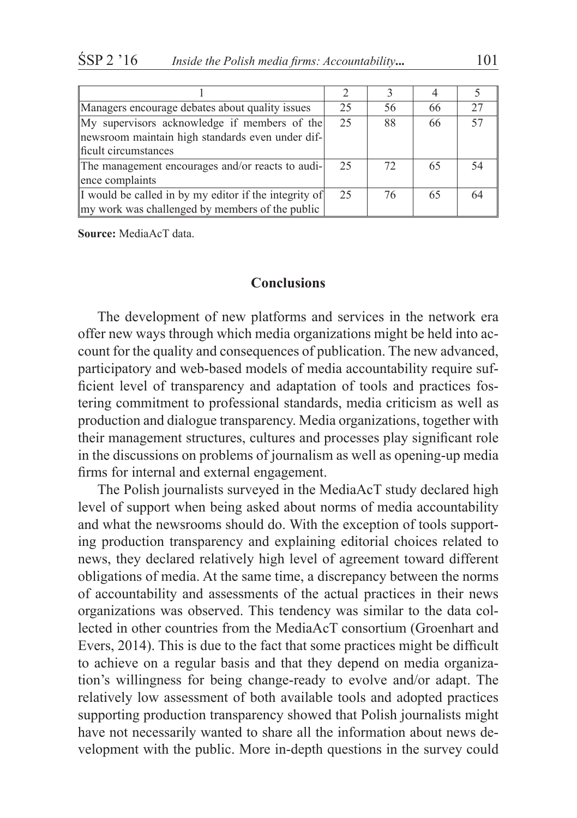| Managers encourage debates about quality issues        | 25 | 56 | 66 |    |
|--------------------------------------------------------|----|----|----|----|
| My supervisors acknowledge if members of the           | 25 | 88 | 66 | 57 |
| newsroom maintain high standards even under dif-       |    |    |    |    |
| ficult circumstances                                   |    |    |    |    |
| The management encourages and/or reacts to audi-       | 25 | 72 | 65 |    |
| ence complaints                                        |    |    |    |    |
| If would be called in by my editor if the integrity of | 25 | 76 | 65 |    |
| my work was challenged by members of the public        |    |    |    |    |

**Source:** MediaAcT data.

### **Conclusions**

The development of new platforms and services in the network era offer new ways through which media organizations might be held into account for the quality and consequences of publication. The new advanced, participatory and web-based models of media accountability require sufficient level of transparency and adaptation of tools and practices fostering commitment to professional standards, media criticism as well as production and dialogue transparency. Media organizations, together with their management structures, cultures and processes play significant role in the discussions on problems of journalism as well as opening-up media firms for internal and external engagement.

The Polish journalists surveyed in the MediaAcT study declared high level of support when being asked about norms of media accountability and what the newsrooms should do. With the exception of tools supporting production transparency and explaining editorial choices related to news, they declared relatively high level of agreement toward different obligations of media. At the same time, a discrepancy between the norms of accountability and assessments of the actual practices in their news organizations was observed. This tendency was similar to the data collected in other countries from the MediaAcT consortium (Groenhart and Evers, 2014). This is due to the fact that some practices might be difficult to achieve on a regular basis and that they depend on media organization's willingness for being change-ready to evolve and/or adapt. The relatively low assessment of both available tools and adopted practices supporting production transparency showed that Polish journalists might have not necessarily wanted to share all the information about news development with the public. More in-depth questions in the survey could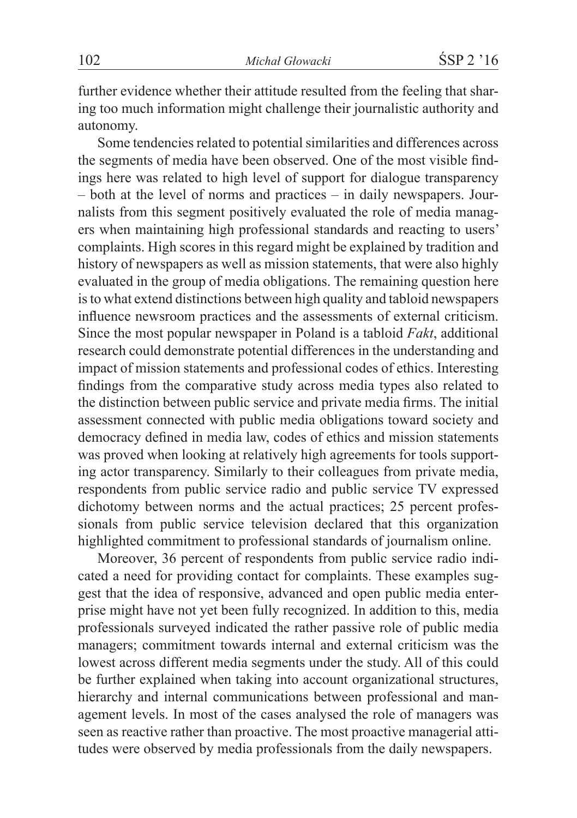further evidence whether their attitude resulted from the feeling that sharing too much information might challenge their journalistic authority and autonomy.

Some tendencies related to potential similarities and differences across the segments of media have been observed. One of the most visible findings here was related to high level of support for dialogue transparency – both at the level of norms and practices – in daily newspapers. Journalists from this segment positively evaluated the role of media managers when maintaining high professional standards and reacting to users' complaints. High scores in this regard might be explained by tradition and history of newspapers as well as mission statements, that were also highly evaluated in the group of media obligations. The remaining question here is to what extend distinctions between high quality and tabloid newspapers influence newsroom practices and the assessments of external criticism. Since the most popular newspaper in Poland is a tabloid *Fakt*, additional research could demonstrate potential differences in the understanding and impact of mission statements and professional codes of ethics. Interesting findings from the comparative study across media types also related to the distinction between public service and private media firms. The initial assessment connected with public media obligations toward society and democracy defined in media law, codes of ethics and mission statements was proved when looking at relatively high agreements for tools supporting actor transparency. Similarly to their colleagues from private media, respondents from public service radio and public service TV expressed dichotomy between norms and the actual practices; 25 percent professionals from public service television declared that this organization highlighted commitment to professional standards of journalism online.

Moreover, 36 percent of respondents from public service radio indicated a need for providing contact for complaints. These examples suggest that the idea of responsive, advanced and open public media enterprise might have not yet been fully recognized. In addition to this, media professionals surveyed indicated the rather passive role of public media managers; commitment towards internal and external criticism was the lowest across different media segments under the study. All of this could be further explained when taking into account organizational structures, hierarchy and internal communications between professional and management levels. In most of the cases analysed the role of managers was seen as reactive rather than proactive. The most proactive managerial attitudes were observed by media professionals from the daily newspapers.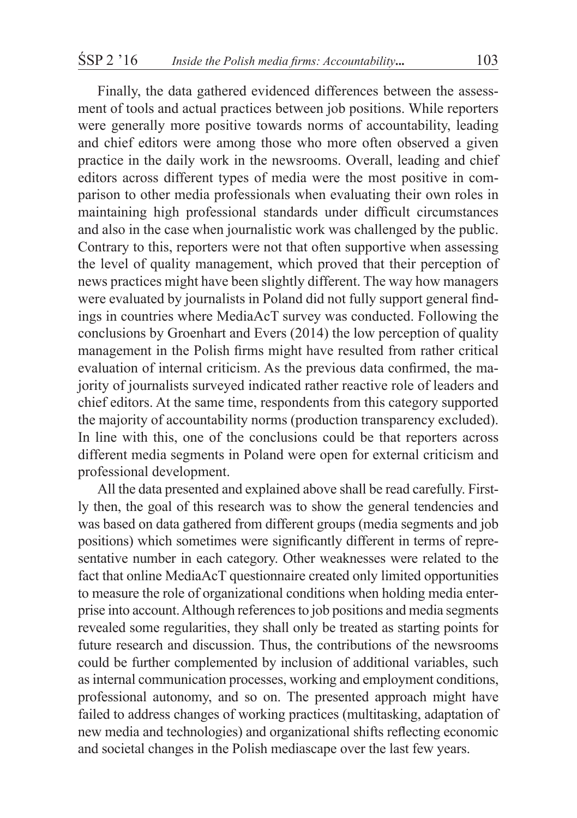Finally, the data gathered evidenced differences between the assessment of tools and actual practices between job positions. While reporters were generally more positive towards norms of accountability, leading and chief editors were among those who more often observed a given practice in the daily work in the newsrooms. Overall, leading and chief editors across different types of media were the most positive in comparison to other media professionals when evaluating their own roles in maintaining high professional standards under difficult circumstances and also in the case when journalistic work was challenged by the public. Contrary to this, reporters were not that often supportive when assessing the level of quality management, which proved that their perception of news practices might have been slightly different. The way how managers were evaluated by journalists in Poland did not fully support general findings in countries where MediaAcT survey was conducted. Following the conclusions by Groenhart and Evers (2014) the low perception of quality management in the Polish firms might have resulted from rather critical evaluation of internal criticism. As the previous data confirmed, the majority of journalists surveyed indicated rather reactive role of leaders and chief editors. At the same time, respondents from this category supported the majority of accountability norms (production transparency excluded). In line with this, one of the conclusions could be that reporters across different media segments in Poland were open for external criticism and professional development.

All the data presented and explained above shall be read carefully. Firstly then, the goal of this research was to show the general tendencies and was based on data gathered from different groups (media segments and job positions) which sometimes were significantly different in terms of representative number in each category. Other weaknesses were related to the fact that online MediaAcT questionnaire created only limited opportunities to measure the role of organizational conditions when holding media enterprise into account. Although references to job positions and media segments revealed some regularities, they shall only be treated as starting points for future research and discussion. Thus, the contributions of the newsrooms could be further complemented by inclusion of additional variables, such as internal communication processes, working and employment conditions, professional autonomy, and so on. The presented approach might have failed to address changes of working practices (multitasking, adaptation of new media and technologies) and organizational shifts reflecting economic and societal changes in the Polish mediascape over the last few years.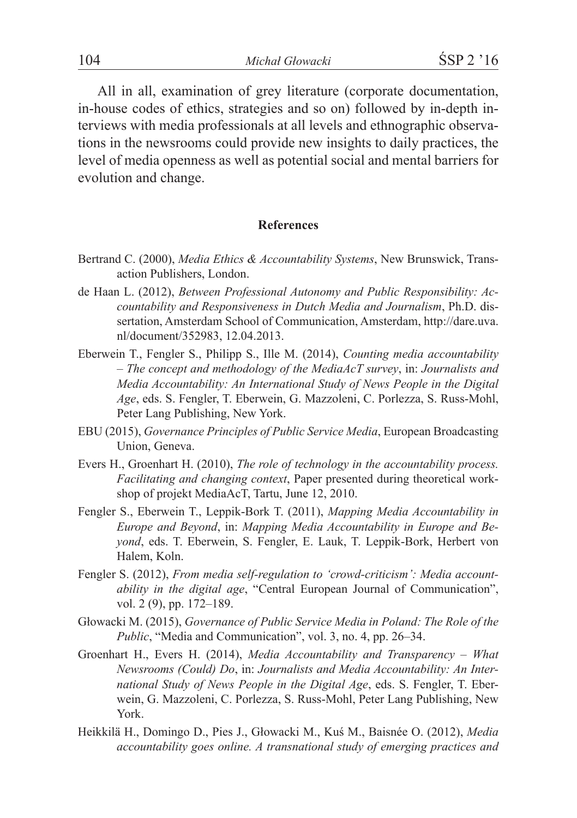All in all, examination of grey literature (corporate documentation, in-house codes of ethics, strategies and so on) followed by in-depth interviews with media professionals at all levels and ethnographic observations in the newsrooms could provide new insights to daily practices, the level of media openness as well as potential social and mental barriers for evolution and change.

#### **References**

- Bertrand C. (2000), *Media Ethics & Accountability Systems*, New Brunswick, Transaction Publishers, London.
- de Haan L. (2012), *Between Professional Autonomy and Public Responsibility: Accountability and Responsiveness in Dutch Media and Journalism*, Ph.D. dissertation, Amsterdam School of Communication, Amsterdam, http://dare.uva. nl/document/352983, 12.04.2013.
- Eberwein T., Fengler S., Philipp S., Ille M. (2014), *Counting media accountability – The concept and methodology of the MediaAcT survey*, in: *Journalists and Media Accountability: An International Study of News People in the Digital Age*, eds. S. Fengler, T. Eberwein, G. Mazzoleni, C. Porlezza, S. Russ-Mohl, Peter Lang Publishing, New York.
- EBU (2015), *Governance Principles of Public Service Media*, European Broadcasting Union, Geneva.
- Evers H., Groenhart H. (2010), *The role of technology in the accountability process. Facilitating and changing context*, Paper presented during theoretical workshop of projekt MediaAcT, Tartu, June 12, 2010.
- Fengler S., Eberwein T., Leppik-Bork T. (2011), *Mapping Media Accountability in Europe and Beyond*, in: *Mapping Media Accountability in Europe and Beyond*, eds. T. Eberwein, S. Fengler, E. Lauk, T. Leppik-Bork, Herbert von Halem, Koln.
- Fengler S. (2012), *From media self-regulation to 'crowd-criticism': Media accountability in the digital age*, "Central European Journal of Communication", vol. 2 (9), pp. 172-189.
- Głowacki M. (2015), *Governance of Public Service Media in Poland: The Role of the Public*, "Media and Communication", vol. 3, no. 4, pp. 26–34.
- Groenhart H., Evers H. (2014), *Media Accountability and Transparency What Newsrooms (Could) Do*, in: *Journalists and Media Accountability: An International Study of News People in the Digital Age*, eds. S. Fengler, T. Eberwein, G. Mazzoleni, C. Porlezza, S. Russ-Mohl, Peter Lang Publishing, New York.
- Heikkilä H., Domingo D., Pies J., Głowacki M., Kuś M., Baisnée O. (2012), *Media accountability goes online. A transnational study of emerging practices and*